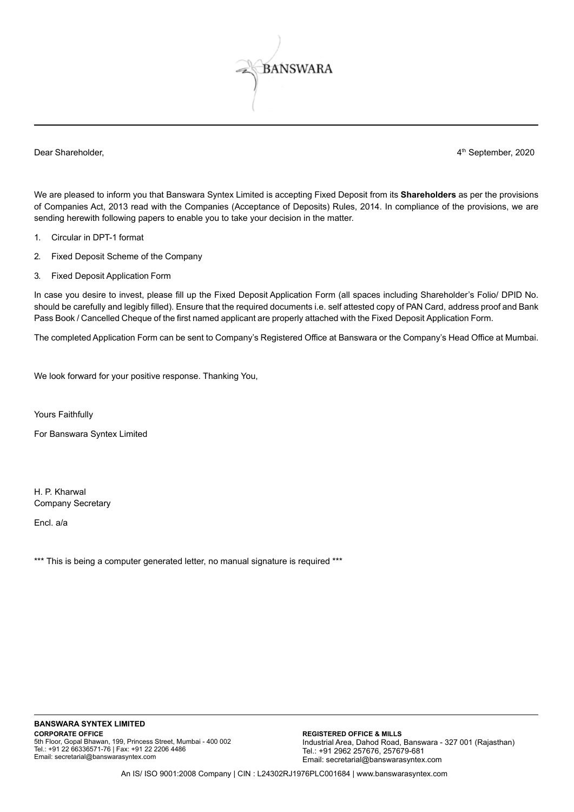

Dear Shareholder, 2020 and the state of the state of the state of the state of the September, 2020 and the September, 2020

We are pleased to inform you that Banswara Syntex Limited is accepting Fixed Deposit from its **Shareholders** as per the provisions of Companies Act, 2013 read with the Companies (Acceptance of Deposits) Rules, 2014. In compliance of the provisions, we are sending herewith following papers to enable you to take your decision in the matter.

- 1. Circular in DPT-1 format
- 2. Fixed Deposit Scheme of the Company
- 3. Fixed Deposit Application Form

In case you desire to invest, please fill up the Fixed Deposit Application Form (all spaces including Shareholder's Folio/ DPID No. should be carefully and legibly filled). Ensure that the required documents i.e. self attested copy of PAN Card, address proof and Bank Pass Book / Cancelled Cheque of the first named applicant are properly attached with the Fixed Deposit Application Form.

The completed Application Form can be sent to Company's Registered Office at Banswara or the Company's Head Office at Mumbai.

We look forward for your positive response. Thanking You,

Yours Faithfully

For Banswara Syntex Limited

H. P. Kharwal Company Secretary

Encl. a/a

\*\*\* This is being a computer generated letter, no manual signature is required \*\*\*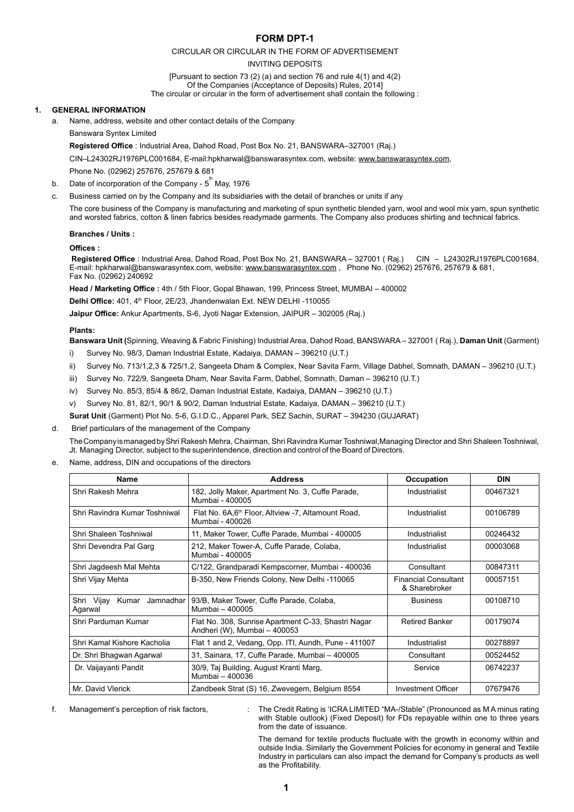# **FORM DPT-1**

## CIRCULAR OR CIRCULAR IN THE FORM OF ADVERTISEMENT

#### INVITING DEPOSITS

[Pursuant to section 73 (2) (a) and section 76 and rule 4(1) and 4(2) Of the Companies (Acceptance of Deposits) Rules, 2014] The circular or circular in the form of advertisement shall contain the following :

## **1. GENERAL INFORMATION**

a. Name, address, website and other contact details of the Company

## Banswara Syntex Limited

 **Registered Office** : Industrial Area, Dahod Road, Post Box No. 21, BANSWARA–327001 (Raj.)

CIN–L24302RJ1976PLC001684, E-mail:hpkharwal@banswarasyntex.com, website: www.banswarasyntex.com, Phone No. (02962) 257676, 257679 & 681

- b.  $\;$  Date of incorporation of the Company  $5^{^{\rm th}}$  May, 1976
- c. Business carried on by the Company and its subsidiaries with the detail of branches or units if any

The core business of the Company is manufacturing and marketing of spun synthetic blended yarn, wool and wool mix yarn, spun synthetic and worsted fabrics, cotton & linen fabrics besides readymade garments. The Company also produces shirting and technical fabrics.

## **Branches / Units :**

## **Offices :**

**Registered Office** : Industrial Area, Dahod Road, Post Box No. 21, BANSWARA – 327001 ( Raj.) CIN – L24302RJ1976PLC001684, E-mail: hpkharwal@banswarasyntex.com, website: www.banswarasyntex.com , Phone No. (02962) 257676, 257679 & 681, Fax No. (02962) 240692

 **Head / Marketing Office :** 4th / 5th Floor, Gopal Bhawan, 199, Princess Street, MUMBAI – 400002

Delhi Office: 401, 4<sup>th</sup> Floor, 2E/23, Jhandenwalan Ext. NEW DELHI -110055

 **Jaipur Office:** Ankur Apartments, S-6, Jyoti Nagar Extension, JAIPUR – 302005 (Raj.)

## **Plants:**

 **Banswara Unit (**Spinning, Weaving & Fabric Finishing) Industrial Area, Dahod Road, BANSWARA – 327001 ( Raj.), **Daman Unit** (Garment)

- i) Survey No. 98/3, Daman Industrial Estate, Kadaiya, DAMAN 396210 (U.T.)
- ii) Survey No. 713/1,2,3 & 725/1,2, Sangeeta Dham & Complex, Near Savita Farm, Village Dabhel, Somnath, DAMAN 396210 (U.T.)
- iii) Survey No. 722/9, Sangeeta Dham, Near Savita Farm, Dabhel, Somnath, Daman 396210 (U.T.)
- iv) Survey No. 85/3, 85/4 & 86/2, Daman Industrial Estate, Kadaiya, DAMAN 396210 (U.T.)
- v) Survey No. 81, 82/1, 90/1 & 90/2, Daman Industrial Estate, Kadaiya, DAMAN 396210 (U.T.)

 **Surat Unit** (Garment) Plot No. 5-6, G.I.D.C., Apparel Park, SEZ Sachin, SURAT – 394230 (GUJARAT)

d. Brief particulars of the management of the Company

The Company is managed by Shri Rakesh Mehra, Chairman, Shri Ravindra Kumar Toshniwal, Managing Director and Shri Shaleen Toshniwal, Jt. Managing Director, subject to the superintendence, direction and control of the Board of Directors.

Name, address, DIN and occupations of the directors

| <b>Name</b>                              | <b>Address</b>                                                                      | Occupation                                   | <b>DIN</b> |
|------------------------------------------|-------------------------------------------------------------------------------------|----------------------------------------------|------------|
| Shri Rakesh Mehra                        | 182, Jolly Maker, Apartment No. 3, Cuffe Parade,<br>Mumbai - 400005                 | Industrialist                                | 00467321   |
| Shri Ravindra Kumar Toshniwal            | Flat No. 6A, 6 <sup>th</sup> Floor, Altview -7, Altamount Road,<br>Mumbai - 400026  | Industrialist                                | 00106789   |
| Shri Shaleen Toshniwal                   | 11, Maker Tower, Cuffe Parade, Mumbai - 400005                                      | Industrialist                                | 00246432   |
| Shri Devendra Pal Garg                   | 212, Maker Tower-A, Cuffe Parade, Colaba,<br>Mumbai - 400005                        | Industrialist                                | 00003068   |
| Shri Jagdeesh Mal Mehta                  | C/122, Grandparadi Kempscorner, Mumbai - 400036                                     | Consultant                                   | 00847311   |
| Shri Vijay Mehta                         | B-350, New Friends Colony, New Delhi -110065                                        | <b>Financial Consultant</b><br>& Sharebroker | 00057151   |
| Shri Vijay<br>Kumar Jamnadhar<br>Agarwal | 93/B, Maker Tower, Cuffe Parade, Colaba,<br>Mumbai - 400005                         | <b>Business</b>                              | 00108710   |
| Shri Parduman Kumar                      | Flat No. 308, Sunrise Apartment C-33, Shastri Nagar<br>Andheri (W), Mumbai - 400053 | <b>Retired Banker</b>                        | 00179074   |
| Shri Kamal Kishore Kacholia              | Flat 1 and 2, Vedang, Opp. ITI, Aundh, Pune - 411007                                | Industrialist                                | 00278897   |
| Dr. Shri Bhagwan Agarwal                 | 31, Sainara, 17, Cuffe Parade, Mumbai - 400005                                      | Consultant                                   | 00524452   |
| Dr. Vaijayanti Pandit                    | 30/9, Taj Building, August Kranti Marg,<br>Mumbai - 400036                          | Service                                      | 06742237   |
| Mr. David Vlerick                        | Zandbeek Strat (S) 16, Zwevegem, Belgium 8554                                       | Investment Officer                           | 07679476   |

f. Management's perception of risk factors, : The Credit Rating is 'ICRA LIMITED "MA-/Stable" (Pronounced as M A minus rating with Stable outlook) (Fixed Deposit) for FDs repayable within one to three years from the date of issuance.

> The demand for textile products fluctuate with the growth in economy within and outside India. Similarly the Government Policies for economy in general and Textile Industry in particulars can also impact the demand for Company's products as well as the Profitability.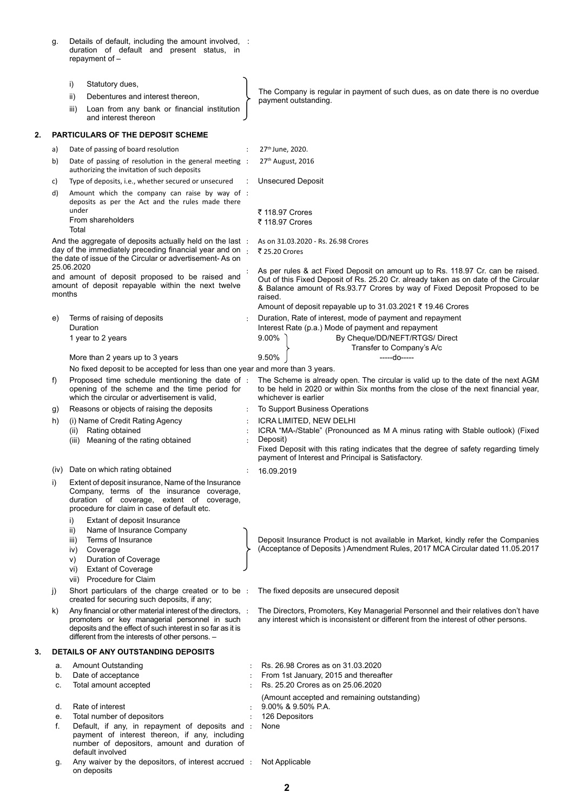g. Details of default, including the amount involved, duration of default and present status, in repayment of – :

|    |                                                              | i)                                    | Statutory dues,                                                                                                                                                                                                                  | The Company is regular in payment of such dues, as on date there is no overdue                                                                                                                                                                                 |
|----|--------------------------------------------------------------|---------------------------------------|----------------------------------------------------------------------------------------------------------------------------------------------------------------------------------------------------------------------------------|----------------------------------------------------------------------------------------------------------------------------------------------------------------------------------------------------------------------------------------------------------------|
|    |                                                              | ii)                                   | Debentures and interest thereon,                                                                                                                                                                                                 | payment outstanding.                                                                                                                                                                                                                                           |
|    |                                                              | iii)                                  | Loan from any bank or financial institution<br>and interest thereon                                                                                                                                                              |                                                                                                                                                                                                                                                                |
| 2. |                                                              |                                       | <b>PARTICULARS OF THE DEPOSIT SCHEME</b>                                                                                                                                                                                         |                                                                                                                                                                                                                                                                |
|    | a)                                                           |                                       | Date of passing of board resolution                                                                                                                                                                                              | 27th June, 2020.                                                                                                                                                                                                                                               |
|    | b)                                                           |                                       | Date of passing of resolution in the general meeting :<br>authorizing the invitation of such deposits                                                                                                                            | 27 <sup>th</sup> August, 2016                                                                                                                                                                                                                                  |
|    | C)                                                           |                                       | Type of deposits, i.e., whether secured or unsecured                                                                                                                                                                             | <b>Unsecured Deposit</b>                                                                                                                                                                                                                                       |
|    | d)                                                           | under                                 | Amount which the company can raise by way of :<br>deposits as per the Act and the rules made there                                                                                                                               |                                                                                                                                                                                                                                                                |
|    |                                                              | Total                                 | From shareholders                                                                                                                                                                                                                | ₹ 118.97 Crores<br>₹ 118.97 Crores                                                                                                                                                                                                                             |
|    |                                                              | 25.06.2020                            | And the aggregate of deposits actually held on the last :<br>day of the immediately preceding financial year and on :<br>the date of issue of the Circular or advertisement-As on                                                | As on 31.03.2020 - Rs. 26.98 Crores<br>₹ 25.20 Crores                                                                                                                                                                                                          |
|    | months                                                       |                                       | and amount of deposit proposed to be raised and<br>amount of deposit repayable within the next twelve                                                                                                                            | As per rules & act Fixed Deposit on amount up to Rs. 118.97 Cr. can be raised.<br>Out of this Fixed Deposit of Rs. 25.20 Cr. already taken as on date of the Circular<br>& Balance amount of Rs.93.77 Crores by way of Fixed Deposit Proposed to be<br>raised. |
|    |                                                              |                                       |                                                                                                                                                                                                                                  | Amount of deposit repayable up to 31.03.2021 ₹ 19.46 Crores                                                                                                                                                                                                    |
|    | e)                                                           |                                       | Terms of raising of deposits                                                                                                                                                                                                     | Duration, Rate of interest, mode of payment and repayment                                                                                                                                                                                                      |
|    |                                                              | Duration                              | 1 year to 2 years                                                                                                                                                                                                                | Interest Rate (p.a.) Mode of payment and repayment<br>9.00%<br>By Cheque/DD/NEFT/RTGS/ Direct                                                                                                                                                                  |
|    |                                                              |                                       |                                                                                                                                                                                                                                  | Transfer to Company's A/c                                                                                                                                                                                                                                      |
|    |                                                              |                                       | More than 2 years up to 3 years                                                                                                                                                                                                  | 9.50%<br>-----do-----                                                                                                                                                                                                                                          |
|    | f)                                                           |                                       | No fixed deposit to be accepted for less than one year and more than 3 years.<br>Proposed time schedule mentioning the date of :                                                                                                 | The Scheme is already open. The circular is valid up to the date of the next AGM                                                                                                                                                                               |
|    |                                                              |                                       | opening of the scheme and the time period for<br>which the circular or advertisement is valid.                                                                                                                                   | to be held in 2020 or within Six months from the close of the next financial year,<br>whichever is earlier                                                                                                                                                     |
|    | g)                                                           |                                       | Reasons or objects of raising the deposits                                                                                                                                                                                       | To Support Business Operations                                                                                                                                                                                                                                 |
|    | h)                                                           |                                       | (i) Name of Credit Rating Agency                                                                                                                                                                                                 | ICRA LIMITED, NEW DELHI<br>ICRA "MA-/Stable" (Pronounced as M A minus rating with Stable outlook) (Fixed                                                                                                                                                       |
|    | (ii) Rating obtained<br>(iii) Meaning of the rating obtained |                                       |                                                                                                                                                                                                                                  | Deposit)<br>Fixed Deposit with this rating indicates that the degree of safety regarding timely<br>payment of Interest and Principal is Satisfactory.                                                                                                          |
|    | (iv)                                                         |                                       | Date on which rating obtained                                                                                                                                                                                                    | 16.09.2019                                                                                                                                                                                                                                                     |
|    | i)                                                           |                                       | Extent of deposit insurance, Name of the Insurance<br>Company, terms of the insurance coverage,<br>duration of coverage, extent of coverage,<br>procedure for claim in case of default etc.                                      |                                                                                                                                                                                                                                                                |
|    |                                                              | i)<br>ii)<br>iii)<br>iv)<br>V)<br>vi) | Extant of deposit Insurance<br>Name of Insurance Company<br>Terms of Insurance<br>Coverage<br>Duration of Coverage<br><b>Extant of Coverage</b><br>vii) Procedure for Claim                                                      | Deposit Insurance Product is not available in Market, kindly refer the Companies<br>(Acceptance of Deposits) Amendment Rules, 2017 MCA Circular dated 11.05.2017                                                                                               |
|    | j)                                                           |                                       | Short particulars of the charge created or to be :<br>created for securing such deposits, if any;                                                                                                                                | The fixed deposits are unsecured deposit                                                                                                                                                                                                                       |
|    | k)                                                           |                                       | Any financial or other material interest of the directors, :<br>promoters or key managerial personnel in such<br>deposits and the effect of such interest in so far as it is<br>different from the interests of other persons. - | The Directors, Promoters, Key Managerial Personnel and their relatives don't have<br>any interest which is inconsistent or different from the interest of other persons.                                                                                       |
| 3. |                                                              |                                       | DETAILS OF ANY OUTSTANDING DEPOSITS                                                                                                                                                                                              |                                                                                                                                                                                                                                                                |
|    | a.                                                           |                                       | <b>Amount Outstanding</b>                                                                                                                                                                                                        | Rs. 26.98 Crores as on 31.03.2020                                                                                                                                                                                                                              |
|    | b.<br>c.                                                     |                                       | Date of acceptance<br>Total amount accepted                                                                                                                                                                                      | From 1st January, 2015 and thereafter<br>Rs. 25.20 Crores as on 25.06.2020                                                                                                                                                                                     |
|    | d.                                                           |                                       | Rate of interest                                                                                                                                                                                                                 | (Amount accepted and remaining outstanding)<br>9.00% & 9.50% P.A.                                                                                                                                                                                              |
|    | е.                                                           |                                       | Total number of depositors                                                                                                                                                                                                       | 126 Depositors                                                                                                                                                                                                                                                 |
|    | f.                                                           |                                       | Default, if any, in repayment of deposits and :<br>payment of interest thereon, if any, including<br>number of depositors, amount and duration of                                                                                | None                                                                                                                                                                                                                                                           |
|    | g.                                                           |                                       | default involved<br>Any waiver by the depositors, of interest accrued:<br>on deposits                                                                                                                                            | Not Applicable                                                                                                                                                                                                                                                 |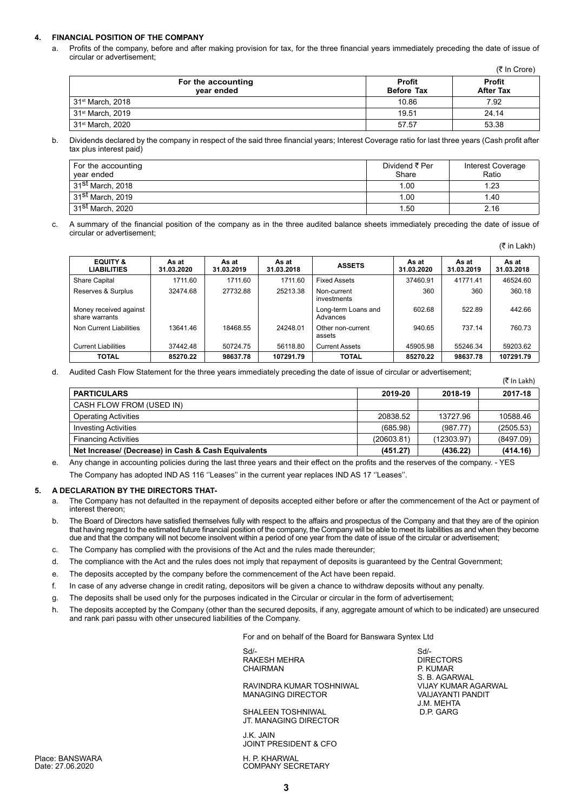## **4. FINANCIAL POSITION OF THE COMPANY**

a. Profits of the company, before and after making provision for tax, for the three financial years immediately preceding the date of issue of circular or advertisement;

(₹ In Crore)

| For the accounting<br>vear ended | <b>Profit</b><br><b>Before Tax</b> | <b>Profit</b><br><b>After Tax</b> |
|----------------------------------|------------------------------------|-----------------------------------|
| $31st$ March, 2018               | 10.86                              | 7.92                              |
| , 31 <sup>st</sup> March, 2019   | 19.51                              | 24.14                             |
| 31 <sup>st</sup> March, 2020     | 57.57                              | 53.38                             |

b. Dividends declared by the company in respect of the said three financial years; Interest Coverage ratio for last three years (Cash profit after tax plus interest paid)

| For the accounting<br>year ended | Dividend ₹ Per<br>Share | Interest Coverage<br>Ratio |
|----------------------------------|-------------------------|----------------------------|
| 31 <sup>st</sup> March, 2018     | 1.00                    | 1.23                       |
| 31 <sup>st</sup> March, 2019     | 1.00                    | 1.40                       |
| 31 <sup>st</sup> March, 2020     | 1.50                    | 2.16                       |

c. A summary of the financial position of the company as in the three audited balance sheets immediately preceding the date of issue of circular or advertisement;

(₹ in Lakh)

 $(\bar{z}$  In Lakh)

S. B. AGARWAL<br>VIJAY KUMAR AGARWAL

J.M. MEHTA

| <b>EQUITY &amp;</b><br><b>LIABILITIES</b> | As at<br>31.03.2020 | As at<br>31.03.2019 | As at<br>31.03.2018 | <b>ASSETS</b>                   | As at<br>31.03.2020 | As at<br>31.03.2019 | As at<br>31.03.2018 |
|-------------------------------------------|---------------------|---------------------|---------------------|---------------------------------|---------------------|---------------------|---------------------|
| <b>Share Capital</b>                      | 1711.60             | 1711.60             | 1711.60             | <b>Fixed Assets</b>             | 37460.91            | 41771.41            | 46524.60            |
| Reserves & Surplus                        | 32474.68            | 27732.88            | 25213.38            | Non-current<br>investments      | 360                 | 360                 | 360.18              |
| Money received against<br>share warrants  |                     |                     |                     | Long-term Loans and<br>Advances | 602.68              | 522.89              | 442.66              |
| Non Current Liabilities                   | 13641.46            | 18468.55            | 24248.01            | Other non-current<br>assets     | 940.65              | 737.14              | 760.73              |
| <b>Current Liabilities</b>                | 37442.48            | 50724.75            | 56118.80            | <b>Current Assets</b>           | 45905.98            | 55246.34            | 59203.62            |
| TOTAL                                     | 85270.22            | 98637.78            | 107291.79           | TOTAL                           | 85270.22            | 98637.78            | 107291.79           |

d. Audited Cash Flow Statement for the three years immediately preceding the date of issue of circular or advertisement;

|                                                     |            |            | $\lambda$ $\mu$ $\mu$ $\mu$ |
|-----------------------------------------------------|------------|------------|-----------------------------|
| <b>PARTICULARS</b>                                  | 2019-20    | 2018-19    | 2017-18                     |
| CASH FLOW FROM (USED IN)                            |            |            |                             |
| <b>Operating Activities</b>                         | 20838.52   | 13727.96   | 10588.46                    |
| <b>Investing Activities</b>                         | (685.98)   | (987.77)   | (2505.53)                   |
| <b>Financing Activities</b>                         | (20603.81) | (12303.97) | (8497.09)                   |
| Net Increase/ (Decrease) in Cash & Cash Equivalents | (451.27)   | (436.22)   | (414.16)                    |

Any change in accounting policies during the last three years and their effect on the profits and the reserves of the company. - YES

The Company has adopted IND AS 116 ''Leases'' in the current year replaces IND AS 17 ''Leases''.

#### **5. A DECLARATION BY THE DIRECTORS THAT-**

- a. The Company has not defaulted in the repayment of deposits accepted either before or after the commencement of the Act or payment of interest thereon;
- b. The Board of Directors have satisfied themselves fully with respect to the affairs and prospectus of the Company and that they are of the opinion that having regard to the estimated future financial position of the company, the Company will be able to meet its liabilities as and when they become due and that the company will not become insolvent within a period of one year from the date of issue of the circular or advertisement;
- c. The Company has complied with the provisions of the Act and the rules made thereunder;
- d. The compliance with the Act and the rules does not imply that repayment of deposits is guaranteed by the Central Government;
- e. The deposits accepted by the company before the commencement of the Act have been repaid.
- f. In case of any adverse change in credit rating, depositors will be given a chance to withdraw deposits without any penalty.
- g. The deposits shall be used only for the purposes indicated in the Circular or circular in the form of advertisement;
- h. The deposits accepted by the Company (other than the secured deposits, if any, aggregate amount of which to be indicated) are unsecured and rank pari passu with other unsecured liabilities of the Company.

For and on behalf of the Board for Banswara Syntex Ltd

Sd/- Sd/- RAKESH MEHRA DIRECTORS<br>CHAIRMAN DIRECTORS P. KUMAR CHAIRMAN

RAVINDRA KUMAR TOSHNIWAL VIJAY KUMAR AGAR<br>MANAGING DIRECTOR VAIJAYANTI PANDIT MANAGING DIRECTOR

SHALEEN TOSHNIWAL JT. MANAGING DIRECTOR

J.K. JAIN JOINT PRESIDENT & CFO

Place: BANSWARA 
H. P. KHARWAL

Date: 27.06.2020

COMPANY SECRETARY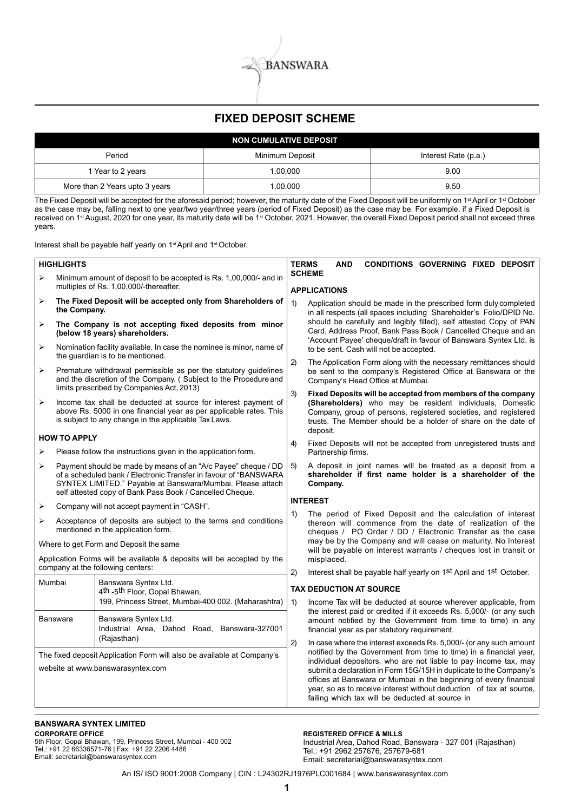

# **FIXED DEPOSIT SCHEME**

|                                | <b>NON CUMULATIVE DEPOSIT</b> |                      |
|--------------------------------|-------------------------------|----------------------|
| Period                         | Minimum Deposit               | Interest Rate (p.a.) |
| 1 Year to 2 years              | 1.00.000                      | 9.00                 |
| More than 2 Years upto 3 years | 1,00,000                      | 9.50                 |

The Fixed Deposit will be accepted for the aforesaid period; however, the maturity date of the Fixed Deposit will be uniformly on 1<sup>st</sup> April or 1<sup>st</sup> October as the case may be, falling next to one year/two year/three years (period of Fixed Deposit) as the case may be. For example, if a Fixed Deposit is received on 1st August, 2020 for one year, its maturity date will be 1st October, 2021. However, the overall Fixed Deposit period shall not exceed three years.

Interest shall be payable half yearly on 1st April and 1st October.

|                       | <b>HIGHLIGHTS</b>                                                                                                                                                                                                                                           |                  | <b>TERMS</b><br><b>AND</b><br><b>CONDITIONS GOVERNING FIXED DEPOSIT</b>                                                                                                                                                                                                                                                                                                                                                                                                           |
|-----------------------|-------------------------------------------------------------------------------------------------------------------------------------------------------------------------------------------------------------------------------------------------------------|------------------|-----------------------------------------------------------------------------------------------------------------------------------------------------------------------------------------------------------------------------------------------------------------------------------------------------------------------------------------------------------------------------------------------------------------------------------------------------------------------------------|
|                       |                                                                                                                                                                                                                                                             |                  | <b>SCHEME</b>                                                                                                                                                                                                                                                                                                                                                                                                                                                                     |
| $\blacktriangleright$ | Minimum amount of deposit to be accepted is Rs. 1,00,000/- and in<br>multiples of Rs. 1,00,000/-thereafter.                                                                                                                                                 |                  | <b>APPLICATIONS</b>                                                                                                                                                                                                                                                                                                                                                                                                                                                               |
| ➤                     | The Fixed Deposit will be accepted only from Shareholders of<br>the Company.                                                                                                                                                                                | 1)               | Application should be made in the prescribed form duly completed<br>in all respects (all spaces including Shareholder's Folio/DPID No.                                                                                                                                                                                                                                                                                                                                            |
| ➤                     | The Company is not accepting fixed deposits from minor<br>(below 18 years) shareholders.                                                                                                                                                                    |                  | should be carefully and legibly filled), self attested Copy of PAN<br>Card, Address Proof, Bank Pass Book / Cancelled Cheque and an                                                                                                                                                                                                                                                                                                                                               |
| ➤                     | Nomination facility available. In case the nominee is minor, name of<br>the guardian is to be mentioned.                                                                                                                                                    |                  | 'Account Payee' cheque/draft in favour of Banswara Syntex Ltd. is<br>to be sent. Cash will not be accepted.                                                                                                                                                                                                                                                                                                                                                                       |
| ➤                     | Premature withdrawal permissible as per the statutory guidelines<br>and the discretion of the Company. (Subject to the Procedure and<br>limits prescribed by Companies Act, 2013)                                                                           | 2)               | The Application Form along with the necessary remittances should<br>be sent to the company's Registered Office at Banswara or the<br>Company's Head Office at Mumbai.                                                                                                                                                                                                                                                                                                             |
| $\blacktriangleright$ | Income tax shall be deducted at source for interest payment of<br>above Rs. 5000 in one financial year as per applicable rates. This<br>is subject to any change in the applicable Tax Laws.                                                                | 3)               | Fixed Deposits will be accepted from members of the company<br>(Shareholders) who may be resident individuals, Domestic<br>Company, group of persons, registered societies, and registered<br>trusts. The Member should be a holder of share on the date of<br>deposit.                                                                                                                                                                                                           |
| ⋗                     | <b>HOW TO APPLY</b><br>Please follow the instructions given in the application form.                                                                                                                                                                        | 4)               | Fixed Deposits will not be accepted from unregistered trusts and<br>Partnership firms.                                                                                                                                                                                                                                                                                                                                                                                            |
| ➤                     | Payment should be made by means of an "A/c Payee" cheque / DD<br>of a scheduled bank / Electronic Transfer in favour of "BANSWARA<br>SYNTEX LIMITED." Payable at Banswara/Mumbai. Please attach<br>self attested copy of Bank Pass Book / Cancelled Cheque. | 5)               | A deposit in joint names will be treated as a deposit from a<br>shareholder if first name holder is a shareholder of the<br>Company.                                                                                                                                                                                                                                                                                                                                              |
|                       |                                                                                                                                                                                                                                                             |                  | <b>INTEREST</b>                                                                                                                                                                                                                                                                                                                                                                                                                                                                   |
| ➤                     | Company will not accept payment in "CASH".                                                                                                                                                                                                                  | 1)               | The period of Fixed Deposit and the calculation of interest                                                                                                                                                                                                                                                                                                                                                                                                                       |
| ⋗                     | Acceptance of deposits are subject to the terms and conditions<br>mentioned in the application form.                                                                                                                                                        |                  | thereon will commence from the date of realization of the<br>cheques / PO Order / DD / Electronic Transfer as the case                                                                                                                                                                                                                                                                                                                                                            |
|                       | Where to get Form and Deposit the same                                                                                                                                                                                                                      |                  | may be by the Company and will cease on maturity. No Interest<br>will be payable on interest warrants / cheques lost in transit or                                                                                                                                                                                                                                                                                                                                                |
|                       | Application Forms will be available & deposits will be accepted by the                                                                                                                                                                                      |                  | misplaced.                                                                                                                                                                                                                                                                                                                                                                                                                                                                        |
|                       | company at the following centers:                                                                                                                                                                                                                           | 2)               | Interest shall be payable half yearly on 1st April and 1st October.                                                                                                                                                                                                                                                                                                                                                                                                               |
| Mumbai                | Banswara Syntex Ltd.<br>4th -5th Floor, Gopal Bhawan,                                                                                                                                                                                                       |                  | <b>TAX DEDUCTION AT SOURCE</b>                                                                                                                                                                                                                                                                                                                                                                                                                                                    |
|                       | 199, Princess Street, Mumbai-400 002. (Maharashtra)                                                                                                                                                                                                         | $\left( \right)$ | Income Tax will be deducted at source wherever applicable, from                                                                                                                                                                                                                                                                                                                                                                                                                   |
|                       | Banswara Syntex Ltd.<br><b>Banswara</b><br>Industrial Area, Dahod Road, Banswara-327001                                                                                                                                                                     |                  | the interest paid or credited if it exceeds Rs. 5,000/- (or any such<br>amount notified by the Government from time to time) in any<br>financial year as per statutory requirement.                                                                                                                                                                                                                                                                                               |
|                       | (Rajasthan)<br>The fixed deposit Application Form will also be available at Company's<br>website at www.banswarasyntex.com                                                                                                                                  | 2)               | In case where the interest exceeds Rs. 5,000/- (or any such amount<br>notified by the Government from time to time) in a financial year,<br>individual depositors, who are not liable to pay income tax, may<br>submit a declaration in Form 15G/15H in duplicate to the Company's<br>offices at Banswara or Mumbai in the beginning of every financial<br>year, so as to receive interest without deduction of tax at source,<br>failing which tax will be deducted at source in |
|                       |                                                                                                                                                                                                                                                             |                  |                                                                                                                                                                                                                                                                                                                                                                                                                                                                                   |

#### **BANSWARA SYNTEX LIMITED CORPORATE OFFICE**

5th Floor, Gopal Bhawan, 199, Princess Street, Mumbai - 400 002 Tel.: +91 22 66336571-76 | Fax: +91 22 2206 4486 Email: secretarial@banswarasyntex.com

**REGISTERED OFFICE & MILLS**

Industrial Area, Dahod Road, Banswara - 327 001 (Rajasthan) Tel.: +91 2962 257676, 257679-681 Email: secretarial@banswarasyntex.com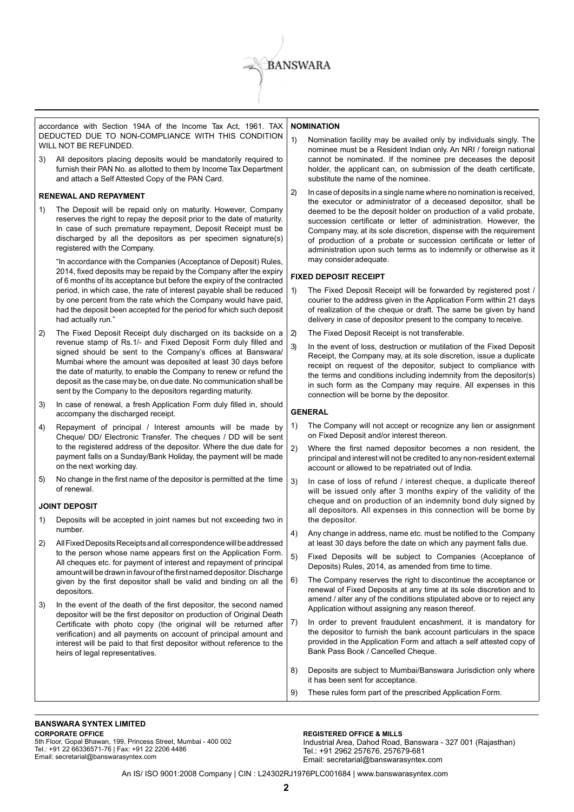

accordance with Section 194A of the Income Tax Act, 1961. TAX DEDUCTED DUE TO NON-COMPLIANCE WITH THIS CONDITION WILL NOT BE REFUNDED.

All depositors placing deposits would be mandatorily required to furnish their PAN No. as allotted to them by Income Tax Department and attach a Self Attested Copy of the PAN Card.

#### **RENEWAL AND REPAYMENT**

1) The Deposit will be repaid only on maturity. However, Company reserves the right to repay the deposit prior to the date of maturity. In case of such premature repayment, Deposit Receipt must be discharged by all the depositors as per specimen signature(s) registered with the Company.

"In accordance with the Companies (Acceptance of Deposit) Rules, 2014, fixed deposits may be repaid by the Company after the expiry of 6 months of its acceptance but before the expiry of the contracted period, in which case, the rate of interest payable shall be reduced by one percent from the rate which the Company would have paid, had the deposit been accepted for the period for which such deposit had actually run."

- 2) The Fixed Deposit Receipt duly discharged on its backside on a revenue stamp of Rs.1/- and Fixed Deposit Form duly filled and signed should be sent to the Company's offices at Banswara/ Mumbai where the amount was deposited at least 30 days before the date of maturity, to enable the Company to renew or refund the deposit as the case may be, on due date. No communication shall be sent by the Company to the depositors regarding maturity.
- 3) In case of renewal, a fresh Application Form duly filled in, should accompany the discharged receipt.
- 4) Repayment of principal / Interest amounts will be made by Cheque/ DD/ Electronic Transfer. The cheques / DD will be sent to the registered address of the depositor. Where the due date for payment falls on a Sunday/Bank Holiday, the payment will be made on the next working day.
- 5) No change in the first name of the depositor is permitted at the time of renewal.

#### **JOINT DEPOSIT**

- 1) Deposits will be accepted in joint names but not exceeding two in number.
- 2) All Fixed Deposits Receipts and all correspondence will be addressed to the person whose name appears first on the Application Form. All cheques etc. for payment of interest and repayment of principal amount will be drawn in favour of the first named depositor. Discharge given by the first depositor shall be valid and binding on all the depositors.
- 3) In the event of the death of the first depositor, the second named depositor will be the first depositor on production of Original Death Certificate with photo copy (the original will be returned after verification) and all payments on account of principal amount and interest will be paid to that first depositor without reference to the heirs of legal representatives.

#### **NOMINATION**

- 1) Nomination facility may be availed only by individuals singly. The nominee must be a Resident Indian only. An NRI / foreign national cannot be nominated. If the nominee pre deceases the deposit holder, the applicant can, on submission of the death certificate, substitute the name of the nominee.
- 2) In case of deposits in a single name where no nomination is received, the executor or administrator of a deceased depositor, shall be deemed to be the deposit holder on production of a valid probate, succession certificate or letter of administration. However, the Company may, at its sole discretion, dispense with the requirement of production of a probate or succession certificate or letter of administration upon such terms as to indemnify or otherwise as it may consider adequate.

#### **FIXED DEPOSIT RECEIPT**

- The Fixed Deposit Receipt will be forwarded by registered post / courier to the address given in the Application Form within 21 days of realization of the cheque or draft. The same be given by hand delivery in case of depositor present to the company to receive.
- 2) The Fixed Deposit Receipt is not transferable.
- In the event of loss, destruction or mutilation of the Fixed Deposit Receipt, the Company may, at its sole discretion, issue a duplicate receipt on request of the depositor, subject to compliance with the terms and conditions including indemnity from the depositor(s) in such form as the Company may require. All expenses in this connection will be borne by the depositor.

## **GENERAL**

- 1) The Company will not accept or recognize any lien or assignment on Fixed Deposit and/or interest thereon.
- 2) Where the first named depositor becomes a non resident, the principal and interest will not be credited to any non-resident external account or allowed to be repatriated out of India.
- 3) In case of loss of refund / interest cheque, a duplicate thereof will be issued only after 3 months expiry of the validity of the cheque and on production of an indemnity bond duly signed by all depositors. All expenses in this connection will be borne by the depositor.
- 4) Any change in address, name etc. must be notified to the Company at least 30 days before the date on which any payment falls due.
- 5) Fixed Deposits will be subject to Companies (Acceptance of Deposits) Rules, 2014, as amended from time to time.
- 6) The Company reserves the right to discontinue the acceptance or renewal of Fixed Deposits at any time at its sole discretion and to amend / alter any of the conditions stipulated above or to reject any Application without assigning any reason thereof.
- In order to prevent fraudulent encashment, it is mandatory for the depositor to furnish the bank account particulars in the space provided in the Application Form and attach a self attested copy of Bank Pass Book / Cancelled Cheque.
- 8) Deposits are subject to Mumbai/Banswara Jurisdiction only where it has been sent for acceptance.
- 9) These rules form part of the prescribed Application Form.

#### **BANSWARA SYNTEX LIMITED CORPORATE OFFICE**

5th Floor, Gopal Bhawan, 199, Princess Street, Mumbai - 400 002 Tel.: +91 22 66336571-76 | Fax: +91 22 2206 4486 Email: secretarial@banswarasyntex.com

#### **REGISTERED OFFICE & MILLS**

Industrial Area, Dahod Road, Banswara - 327 001 (Rajasthan) Tel.: +91 2962 257676, 257679-681 Email: secretarial@banswarasyntex.com

An IS/ ISO 9001:2008 Company | CIN : L24302RJ1976PLC001684 | www.banswarasyntex.com